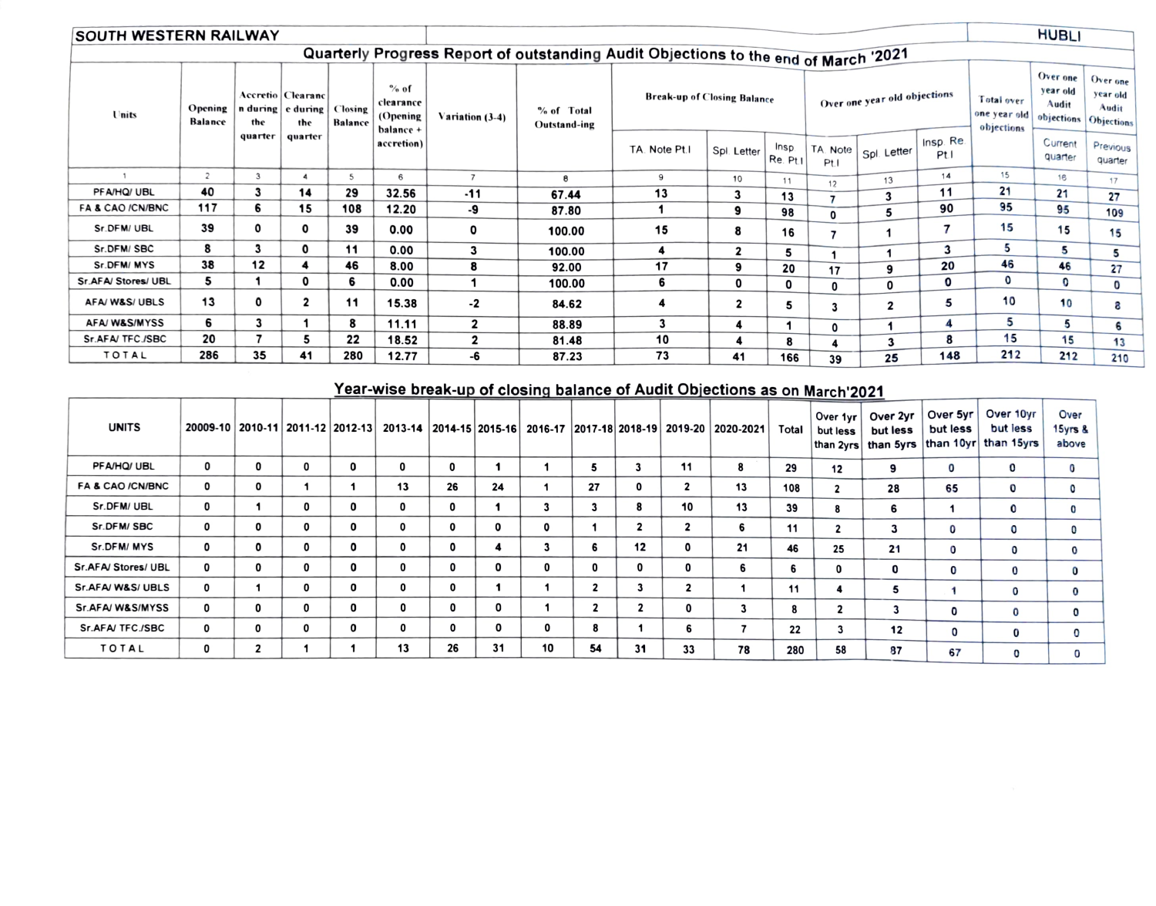| <b>SOUTH WESTERN RAILWAY</b> |                           |              |                                                 | <b>HUBLI</b>              |                                            |                 |                                                                                     |                                    |              |                         |                  |                              |                  |                                          |                                                        |                                      |
|------------------------------|---------------------------|--------------|-------------------------------------------------|---------------------------|--------------------------------------------|-----------------|-------------------------------------------------------------------------------------|------------------------------------|--------------|-------------------------|------------------|------------------------------|------------------|------------------------------------------|--------------------------------------------------------|--------------------------------------|
|                              |                           |              |                                                 |                           |                                            |                 | Quarterly Progress Report of outstanding Audit Objections to the end of March '2021 |                                    |              |                         |                  |                              |                  |                                          |                                                        |                                      |
| Units                        | Opening<br><b>Balance</b> | the          | Accretio   Clearanc<br>n during e during<br>the | Closing<br><b>Balance</b> | % of<br>clearance<br>(Opening<br>balance + | Variation (3-4) | % of Total<br>Outstand-ing                                                          | <b>Break-up of Closing Balance</b> |              |                         |                  | Over one year old objections |                  | Total over<br>one year old<br>objections | Over one<br>year old<br>Audit<br>objections Objections | Over one<br>year old<br><b>Audit</b> |
|                              |                           | quarter      | quarter                                         |                           | accretion)                                 |                 |                                                                                     | TA. Note Pt.I                      | Spl. Letter  | <b>Insp</b><br>Re. Pt.I | TA. Note<br>Pt.1 | Spl. Letter                  | Insp. Re.<br>Ptl |                                          | Current<br>quarter                                     | Previous<br>quarter                  |
|                              | $\overline{c}$            | 3            |                                                 | 5                         | 6                                          | $\overline{7}$  | 8                                                                                   | 9                                  | 10           | 11                      | 12               | 13                           | 14               | 15                                       | 16                                                     | 17                                   |
| PFA/HQ/ UBL                  | 40                        | 3            | 14                                              | 29                        | 32.56                                      | $-11$           | 67.44                                                                               | 13                                 | 3            | 13                      |                  | 3                            | 11               | 21                                       | 21                                                     | 27                                   |
| FA & CAO /CN/BNC             | 117                       | 6            | 15                                              | 108                       | 12.20                                      | -9              | 87.80                                                                               |                                    | 9            | 98                      | 0                | 5                            | 90               | 95                                       | 95                                                     | 109                                  |
| Sr.DFM/UBL                   | 39                        | $\mathbf{o}$ | 0                                               | 39                        | 0.00                                       | 0               | 100.00                                                                              | 15                                 | 8            | 16                      | 7                |                              |                  | 15                                       | 15                                                     | 15                                   |
| Sr.DFM/SBC                   | 8                         | 3            | 0                                               | 11                        | 0.00                                       | 3               | 100.00                                                                              | 4                                  | 2            | 5                       |                  |                              | 3                | 5                                        | 5                                                      | 5                                    |
| Sr.DFM/MYS                   | 38                        | 12           |                                                 | 46                        | 8.00                                       | 8               | 92.00                                                                               | 17                                 | 9            | 20                      | 17               | 9                            | 20               | 46                                       | 46                                                     | 27                                   |
| Sr.AFA/Stores/UBL            | 5                         |              | 0                                               | 6                         | 0.00                                       |                 | 100.00                                                                              | 6                                  | 0            | 0                       | 0                | 0                            | 0                | $\mathbf{o}$                             | $\mathbf{0}$                                           | 0                                    |
| AFA/W&S/UBLS                 | 13                        | 0            | $\overline{\mathbf{2}}$                         | 11                        | 15.38                                      | $-2$            | 84.62                                                                               | 4                                  | $\mathbf{2}$ | 5                       | 3                | $\mathbf{2}$                 | 5                | 10                                       | 10                                                     | e,                                   |
| AFA/W&S/MYSS                 | 6                         | 3            |                                                 | 8                         | 11.11                                      | $\mathbf{2}$    | 88.89                                                                               | 3                                  | 4            |                         | 0                | 1                            | 4                | 5                                        | 5                                                      | 6                                    |
| Sr.AFA/TFC./SBC              | 20                        |              | 5                                               | 22                        | 18.52                                      | $\mathbf{2}$    | 81.48                                                                               | 10                                 | 4            | 8                       |                  | 3                            | 8                | 15                                       | 15                                                     | 13                                   |
| <b>TOTAL</b>                 | 286                       | 35           | 41                                              | 280                       | 12.77                                      | -6              | 87.23                                                                               | 73                                 | 41           | 166                     | 39               | 25                           | 148              | 212                                      | 212                                                    | 210                                  |

## Year-wise break-up of closing balance of Audit Objections as on March 2021

| <b>UNITS</b>                | 20009-10 2010-11 2011-12 2012-13 2013-14 |                         |              |   |    |    |    |              |                         |                         |              | 2014-15   2015-16   2016-17   2017-18   2018-19   2019-20   2020-2021 | Total | Over 1yr<br>but less    | Over 2yr<br>but less<br> than 2yrs   than 5yrs | Over 5yr<br>but less<br>than 10yr | Over 10yr<br>but less<br>than 15yrs | Over<br>15yrs &<br>above |
|-----------------------------|------------------------------------------|-------------------------|--------------|---|----|----|----|--------------|-------------------------|-------------------------|--------------|-----------------------------------------------------------------------|-------|-------------------------|------------------------------------------------|-----------------------------------|-------------------------------------|--------------------------|
| PFA/HQ/ UBL                 | 0                                        | 0                       | $\Omega$     | 0 | 0  | 0  |    |              | 5                       |                         | 11           | 8                                                                     | 29    | 12                      | 9                                              | 0                                 | 0                                   | 0                        |
| <b>FA &amp; CAO /CN/BNC</b> | 0                                        | 0                       |              |   | 13 | 26 | 24 |              | 27                      | 0                       |              | 13                                                                    | 108   | $\overline{\mathbf{2}}$ | 28                                             | 65                                | 0                                   | $\mathbf 0$              |
| Sr.DFM/UBL                  | 0                                        |                         | 0            | 0 | 0  | 0  |    | 3            | 3                       | 8                       | 10           | 13                                                                    | 39    | 8                       | 6                                              |                                   | 0                                   | 0                        |
| Sr.DFM/SBC                  | 0                                        | 0                       | 0            |   | 0  | 0  | 0  | 0            |                         | $\overline{2}$          | $\mathbf{2}$ | 6                                                                     | 11    | $\overline{\mathbf{2}}$ | 3                                              | 0                                 | 0                                   | 0                        |
| Sr.DFM/MYS                  | 0                                        | 0                       | 0            |   | 0  | 0  |    |              | 6                       | 12                      |              | 21                                                                    | 46    | 25                      | 21                                             | 0                                 | 0                                   | 0                        |
| Sr.AFA/ Stores/ UBL         | 0                                        | 0                       | $\mathbf{0}$ | 0 | 0  | 0  | 0  | $\mathbf{0}$ | 0                       | 0                       | 0            | 6.                                                                    | 6     | 0                       | 0                                              | 0                                 | 0                                   | 0                        |
| Sr.AFA/W&S/UBLS             | 0                                        |                         | 0            | 0 | 0  | 0  |    |              | $\overline{\mathbf{2}}$ | 3                       | 2            |                                                                       | 11    |                         | 5                                              |                                   | 0                                   | 0                        |
| Sr.AFA/W&S/MYSS             | 0                                        | 0                       | 0            |   | 0  | 0  | 0  |              | $\mathbf{2}$            | $\overline{\mathbf{2}}$ | 0            |                                                                       | 8     | ◢                       | 3                                              | 0                                 | 0                                   |                          |
| Sr.AFA/TFC./SBC             | 0                                        | 0                       | 0            | 0 | 0  | 0  |    | 0            | 8                       |                         | 6            |                                                                       | 22    | J.                      | 12                                             | 0                                 | 0                                   |                          |
| <b>TOTAL</b>                | 0                                        | $\overline{\mathbf{2}}$ |              |   | 13 | 26 | 31 | 10           | 54                      | 31                      | 33           | 78                                                                    | 280   | 58                      | 87                                             | 67                                | O                                   |                          |